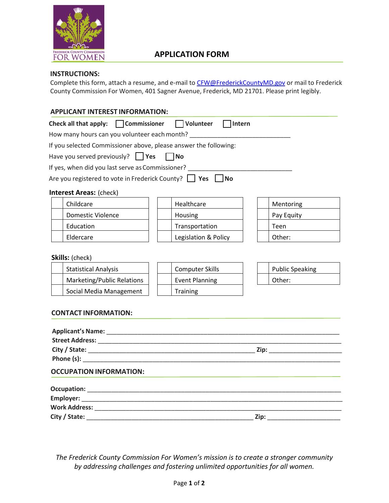

# **APPLICATION FORM**

## **INSTRUCTIONS:**

Complete this form, attach a resume, and e-mail to [CFW@FrederickCountyMD.gov](mailto:CFW@FrederickCountyMD.gov) or mail to Frederick County Commission For Women, 401 Sagner Avenue, Frederick, MD 21701. Please print legibly.

## **APPLICANT INTEREST INFORMATION:**

| Check all that apply: $\Box$ Commissioner $\Box$ Volunteer                                                                                                                                                                     | Intern                 |                        |
|--------------------------------------------------------------------------------------------------------------------------------------------------------------------------------------------------------------------------------|------------------------|------------------------|
| How many hours can you volunteer each month?                                                                                                                                                                                   |                        |                        |
| If you selected Commissioner above, please answer the following:                                                                                                                                                               |                        |                        |
| Have you served previously? $\Box$ Yes $\Box$ No                                                                                                                                                                               |                        |                        |
| If yes, when did you last serve as Commissioner?                                                                                                                                                                               |                        |                        |
| Are you registered to vote in Frederick County? Yes                                                                                                                                                                            | <b>No</b>              |                        |
| <b>Interest Areas: (check)</b>                                                                                                                                                                                                 |                        |                        |
| Childcare                                                                                                                                                                                                                      | Healthcare             | Mentoring              |
| <b>Domestic Violence</b>                                                                                                                                                                                                       | Housing                | Pay Equity             |
| Education                                                                                                                                                                                                                      | Transportation         | Teen                   |
| Eldercare                                                                                                                                                                                                                      | Legislation & Policy   | Other:                 |
| Skills: (check)<br><b>Statistical Analysis</b>                                                                                                                                                                                 | <b>Computer Skills</b> | <b>Public Speaking</b> |
| Marketing/Public Relations                                                                                                                                                                                                     | <b>Event Planning</b>  | Other:                 |
| Social Media Management                                                                                                                                                                                                        | Training               |                        |
| <b>CONTACT INFORMATION:</b>                                                                                                                                                                                                    |                        |                        |
| Phone (s): The contract of the contract of the contract of the contract of the contract of the contract of the contract of the contract of the contract of the contract of the contract of the contract of the contract of the |                        |                        |

# **Occupation:** \_\_\_\_\_\_\_\_\_\_\_\_\_\_\_\_\_\_\_\_\_\_\_\_\_\_\_\_\_\_\_\_\_\_\_\_\_\_\_\_\_\_\_\_\_\_\_\_\_\_\_\_\_\_\_\_\_\_\_\_\_\_\_\_\_\_\_\_\_\_\_\_\_  **Employer:** \_\_\_\_\_\_\_\_\_\_\_\_\_\_\_\_\_\_\_\_\_\_\_\_\_\_\_\_\_\_\_\_\_\_\_\_\_\_\_\_\_\_\_\_\_\_\_\_\_\_\_\_\_\_\_\_\_\_\_\_\_\_\_\_\_\_\_\_\_\_\_\_\_\_\_  **Work Address:** \_\_\_\_\_\_\_\_\_\_\_\_\_\_\_\_\_\_\_\_\_\_\_\_\_\_\_\_\_\_\_\_\_\_\_\_\_\_\_\_\_\_\_\_\_\_\_\_\_\_\_\_\_\_\_\_\_\_\_\_\_\_\_\_\_\_\_\_\_\_\_  **City / State:** \_\_\_\_\_\_\_\_\_\_\_\_\_\_\_\_\_\_\_\_\_\_\_\_\_\_\_\_\_\_\_\_\_\_\_\_\_\_\_\_\_\_\_\_\_\_\_\_ **Zip:** \_\_\_\_\_\_\_\_\_\_\_\_\_\_\_\_\_\_\_\_\_

*The Frederick County Commission For Women's mission is to create a stronger community by addressing challenges and fostering unlimited opportunities for all women.*